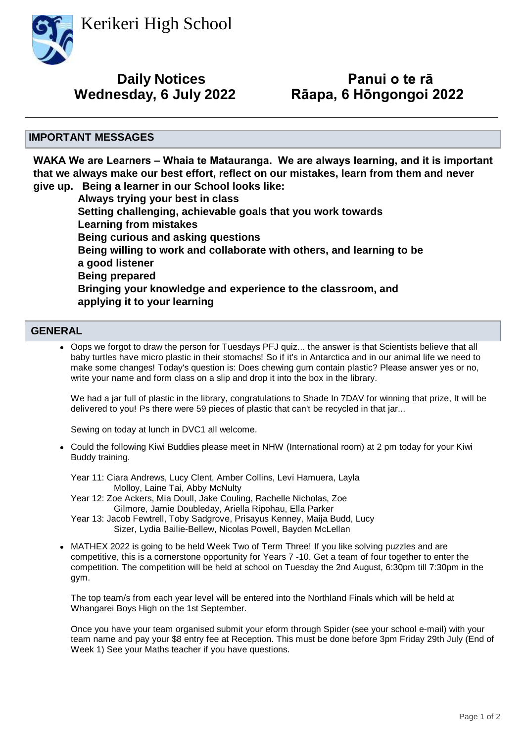Kerikeri High School



## **Wednesday, 6 July 2022 Daily Notices**

# **Panui o te rā<br>Rāapa, 6 Hōngongoi 2022**

#### **IMPORTANT MESSAGES**

**WAKA We are Learners – Whaia te Matauranga. We are always learning, and it is important that we always make our best effort, reflect on our mistakes, learn from them and never** 

**give up. Being a learner in our School looks like: Always trying your best in class Setting challenging, achievable goals that you work towards Learning from mistakes Being curious and asking questions Being willing to work and collaborate with others, and learning to be a good listener Being prepared Bringing your knowledge and experience to the classroom, and applying it to your learning**

#### **GENERAL**

• Oops we forgot to draw the person for Tuesdays PFJ quiz... the answer is that Scientists believe that all baby turtles have micro plastic in their stomachs! So if it's in Antarctica and in our animal life we need to make some changes! Today's question is: Does chewing gum contain plastic? Please answer yes or no, write your name and form class on a slip and drop it into the box in the library.

We had a jar full of plastic in the library, congratulations to Shade In 7DAV for winning that prize, It will be delivered to you! Ps there were 59 pieces of plastic that can't be recycled in that jar...

Sewing on today at lunch in DVC1 all welcome.

Could the following Kiwi Buddies please meet in NHW (International room) at 2 pm today for your Kiwi • Buddy training.

Year 11: Ciara Andrews, Lucy Clent, Amber Collins, Levi Hamuera, Layla Molloy, Laine Tai, Abby McNulty

- Year 12: Zoe Ackers, Mia Doull, Jake Couling, Rachelle Nicholas, Zoe Gilmore, Jamie Doubleday, Ariella Ripohau, Ella Parker
- Year 13: Jacob Fewtrell, Toby Sadgrove, Prisayus Kenney, Maija Budd, Lucy Sizer, Lydia Bailie-Bellew, Nicolas Powell, Bayden McLellan
- MATHEX 2022 is going to be held Week Two of Term Three! If you like solving puzzles and are competitive, this is a cornerstone opportunity for Years 7 -10. Get a team of four together to enter the competition. The competition will be held at school on Tuesday the 2nd August, 6:30pm till 7:30pm in the gym. •

The top team/s from each year level will be entered into the Northland Finals which will be held at Whangarei Boys High on the 1st September.

Once you have your team organised submit your eform through Spider (see your school e-mail) with your team name and pay your \$8 entry fee at Reception. This must be done before 3pm Friday 29th July (End of Week 1) See your Maths teacher if you have questions.